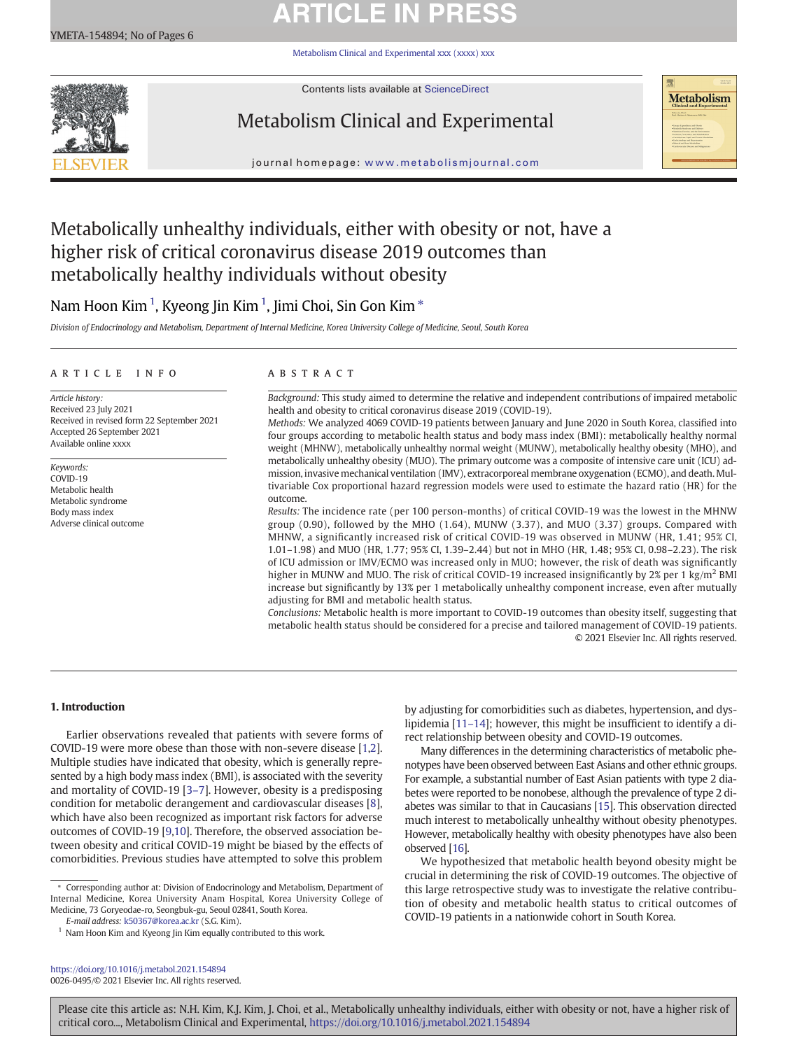# **ARTICLE IN PRES**

[Metabolism Clinical and Experimental xxx \(xxxx\) xxx](https://doi.org/10.1016/j.metabol.2021.154894)



Contents lists available at ScienceDirect

# Metabolism Clinical and Experimental



journal homepage: <www.metabolismjournal.com>

## Metabolically unhealthy individuals, either with obesity or not, have a higher risk of critical coronavirus disease 2019 outcomes than metabolically healthy individuals without obesity

## Nam Hoon Kim  $^1$ , Kyeong Jin Kim  $^1$ , Jimi Choi, Sin Gon Kim  $^\ast$

Division of Endocrinology and Metabolism, Department of Internal Medicine, Korea University College of Medicine, Seoul, South Korea

### article info abstract

Article history: Received 23 July 2021 Received in revised form 22 September 2021 Accepted 26 September 2021 Available online xxxx

Keywords: COVID-19 Metabolic health Metabolic syndrome Body mass index Adverse clinical outcome

Background: This study aimed to determine the relative and independent contributions of impaired metabolic health and obesity to critical coronavirus disease 2019 (COVID-19).

Methods: We analyzed 4069 COVID-19 patients between January and June 2020 in South Korea, classified into four groups according to metabolic health status and body mass index (BMI): metabolically healthy normal weight (MHNW), metabolically unhealthy normal weight (MUNW), metabolically healthy obesity (MHO), and metabolically unhealthy obesity (MUO). The primary outcome was a composite of intensive care unit (ICU) admission, invasive mechanical ventilation (IMV), extracorporeal membrane oxygenation (ECMO), and death. Multivariable Cox proportional hazard regression models were used to estimate the hazard ratio (HR) for the outcome.

Results: The incidence rate (per 100 person-months) of critical COVID-19 was the lowest in the MHNW group (0.90), followed by the MHO (1.64), MUNW (3.37), and MUO (3.37) groups. Compared with MHNW, a significantly increased risk of critical COVID-19 was observed in MUNW (HR, 1.41; 95% CI, 1.01–1.98) and MUO (HR, 1.77; 95% CI, 1.39–2.44) but not in MHO (HR, 1.48; 95% CI, 0.98–2.23). The risk of ICU admission or IMV/ECMO was increased only in MUO; however, the risk of death was significantly higher in MUNW and MUO. The risk of critical COVID-19 increased insignificantly by 2% per 1 kg/m<sup>2</sup> BMI increase but significantly by 13% per 1 metabolically unhealthy component increase, even after mutually adjusting for BMI and metabolic health status.

Conclusions: Metabolic health is more important to COVID-19 outcomes than obesity itself, suggesting that metabolic health status should be considered for a precise and tailored management of COVID-19 patients. © 2021 Elsevier Inc. All rights reserved.

### 1. Introduction

Earlier observations revealed that patients with severe forms of COVID-19 were more obese than those with non-severe disease [[1,2\]](#page-5-0). Multiple studies have indicated that obesity, which is generally represented by a high body mass index (BMI), is associated with the severity and mortality of COVID-19 [3–[7\]](#page-5-0). However, obesity is a predisposing condition for metabolic derangement and cardiovascular diseases [\[8\]](#page-5-0), which have also been recognized as important risk factors for adverse outcomes of COVID-19 [\[9,10\]](#page-5-0). Therefore, the observed association between obesity and critical COVID-19 might be biased by the effects of comorbidities. Previous studies have attempted to solve this problem

E-mail address: [k50367@korea.ac.kr](mailto:k50367@korea.ac.kr) (S.G. Kim).

<https://doi.org/10.1016/j.metabol.2021.154894> 0026-0495/© 2021 Elsevier Inc. All rights reserved. by adjusting for comorbidities such as diabetes, hypertension, and dyslipidemia [11–[14](#page-5-0)]; however, this might be insufficient to identify a direct relationship between obesity and COVID-19 outcomes.

Many differences in the determining characteristics of metabolic phenotypes have been observed between East Asians and other ethnic groups. For example, a substantial number of East Asian patients with type 2 diabetes were reported to be nonobese, although the prevalence of type 2 diabetes was similar to that in Caucasians [\[15\]](#page-5-0). This observation directed much interest to metabolically unhealthy without obesity phenotypes. However, metabolically healthy with obesity phenotypes have also been observed [\[16\]](#page-5-0).

We hypothesized that metabolic health beyond obesity might be crucial in determining the risk of COVID-19 outcomes. The objective of this large retrospective study was to investigate the relative contribution of obesity and metabolic health status to critical outcomes of COVID-19 patients in a nationwide cohort in South Korea.

<sup>⁎</sup> Corresponding author at: Division of Endocrinology and Metabolism, Department of Internal Medicine, Korea University Anam Hospital, Korea University College of Medicine, 73 Goryeodae-ro, Seongbuk-gu, Seoul 02841, South Korea.

 $1$  Nam Hoon Kim and Kyeong Jin Kim equally contributed to this work.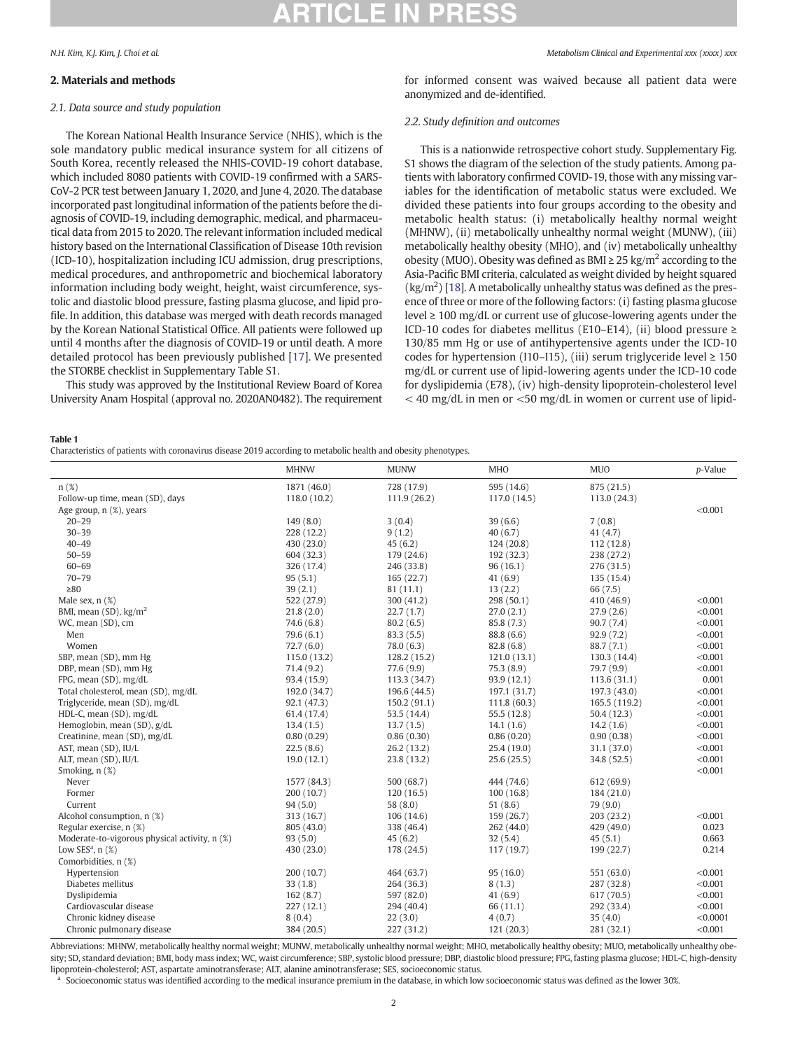#### <span id="page-1-0"></span>2. Materials and methods

#### 2.1. Data source and study population

The Korean National Health Insurance Service (NHIS), which is the sole mandatory public medical insurance system for all citizens of South Korea, recently released the NHIS-COVID-19 cohort database, which included 8080 patients with COVID-19 confirmed with a SARS-CoV-2 PCR test between January 1, 2020, and June 4, 2020. The database incorporated past longitudinal information of the patients before the diagnosis of COVID-19, including demographic, medical, and pharmaceutical data from 2015 to 2020. The relevant information included medical history based on the International Classification of Disease 10th revision (ICD-10), hospitalization including ICU admission, drug prescriptions, medical procedures, and anthropometric and biochemical laboratory information including body weight, height, waist circumference, systolic and diastolic blood pressure, fasting plasma glucose, and lipid profile. In addition, this database was merged with death records managed by the Korean National Statistical Office. All patients were followed up until 4 months after the diagnosis of COVID-19 or until death. A more detailed protocol has been previously published [\[17](#page-5-0)]. We presented the STORBE checklist in Supplementary Table S1.

This study was approved by the Institutional Review Board of Korea University Anam Hospital (approval no. 2020AN0482). The requirement for informed consent was waived because all patient data were anonymized and de-identified.

#### 2.2. Study definition and outcomes

This is a nationwide retrospective cohort study. Supplementary Fig. S1 shows the diagram of the selection of the study patients. Among patients with laboratory confirmed COVID-19, those with any missing variables for the identification of metabolic status were excluded. We divided these patients into four groups according to the obesity and metabolic health status: (i) metabolically healthy normal weight (MHNW), (ii) metabolically unhealthy normal weight (MUNW), (iii) metabolically healthy obesity (MHO), and (iv) metabolically unhealthy obesity (MUO). Obesity was defined as BMI  $\geq$  25 kg/m<sup>2</sup> according to the Asia-Pacific BMI criteria, calculated as weight divided by height squared  $\langle \text{kg}/\text{m}^2 \rangle$  [\[18](#page-5-0)]. A metabolically unhealthy status was defined as the presence of three or more of the following factors: (i) fasting plasma glucose level ≥ 100 mg/dL or current use of glucose-lowering agents under the ICD-10 codes for diabetes mellitus (E10–E14), (ii) blood pressure  $\geq$ 130/85 mm Hg or use of antihypertensive agents under the ICD-10 codes for hypertension (I10–I15), (iii) serum triglyceride level  $\geq 150$ mg/dL or current use of lipid-lowering agents under the ICD-10 code for dyslipidemia (E78), (iv) high-density lipoprotein-cholesterol level  $<$  40 mg/dL in men or  $<$  50 mg/dL in women or current use of lipid-

#### Table 1

Characteristics of patients with coronavirus disease 2019 according to metabolic health and obesity phenotypes.

| n(%)<br>1871 (46.0)<br>728 (17.9)<br>595 (14.6)<br>875 (21.5)<br>Follow-up time, mean (SD), days<br>113.0 (24.3)<br>118.0 (10.2)<br>111.9(26.2)<br>117.0 (14.5)<br>< 0.001<br>Age group, n (%), years<br>$20 - 29$<br>149(8.0)<br>3(0.4)<br>39(6.6)<br>7(0.8)<br>$30 - 39$<br>228 (12.2)<br>9(1.2)<br>40(6.7)<br>41(4.7)<br>$40 - 49$<br>430 (23.0)<br>45(6.2)<br>124(20.8)<br>112(12.8)<br>$50 - 59$<br>604 (32.3)<br>192 (32.3)<br>238 (27.2)<br>179 (24.6)<br>$60 - 69$<br>246 (33.8)<br>96(16.1)<br>276 (31.5)<br>326 (17.4)<br>$70 - 79$<br>95(5.1)<br>165(22.7)<br>41(6.9)<br>135 (15.4)<br>$\geq 80$<br>39(2.1)<br>81(11.1)<br>13(2.2)<br>66 (7.5)<br>298 (50.1)<br>< 0.001<br>Male sex, $n$ $(\%)$<br>522 (27.9)<br>300(41.2)<br>410 (46.9)<br>< 0.001<br>BMI, mean $(SD)$ , kg/m <sup>2</sup><br>27.0(2.1)<br>21.8(2.0)<br>22.7(1.7)<br>27.9(2.6)<br>WC, mean (SD), cm<br>80.2(6.5)<br>85.8 (7.3)<br>90.7(7.4)<br>< 0.001<br>74.6(6.8)<br>< 0.001<br>Men<br>79.6(6.1)<br>83.3(5.5)<br>88.8 (6.6)<br>92.9(7.2)<br>Women<br>< 0.001<br>72.7(6.0)<br>82.8(6.8)<br>88.7 (7.1)<br>78.0(6.3)<br>SBP, mean (SD), mm Hg<br>< 0.001<br>115.0 (13.2)<br>128.2 (15.2)<br>121.0(13.1)<br>130.3 (14.4)<br>71.4(9.2)<br>77.6 (9.9)<br>75.3(8.9)<br>< 0.001<br>DBP, mean (SD), mm Hg<br>79.7 (9.9)<br>FPG, mean (SD), mg/dL<br>0.001<br>93.4 (15.9)<br>93.9(12.1)<br>113.6(31.1)<br>113.3 (34.7)<br>Total cholesterol, mean (SD), mg/dL<br>< 0.001<br>192.0 (34.7)<br>196.6 (44.5)<br>197.1 (31.7)<br>197.3 (43.0)<br>< 0.001<br>Triglyceride, mean (SD), mg/dL<br>111.8 (60.3)<br>92.1 (47.3)<br>150.2 (91.1)<br>165.5 (119.2)<br>HDL-C, mean (SD), mg/dL<br>53.5 (14.4)<br>55.5 (12.8)<br>< 0.001<br>61.4 (17.4)<br>50.4(12.3)<br>Hemoglobin, mean (SD), g/dL<br>< 0.001<br>13.4(1.5)<br>13.7(1.5)<br>14.1(1.6)<br>14.2(1.6)<br>Creatinine, mean (SD), mg/dL<br>< 0.001<br>0.80(0.29)<br>0.86(0.30)<br>0.86(0.20)<br>0.90(0.38)<br>< 0.001<br>AST, mean (SD), IU/L<br>22.5(8.6)<br>26.2(13.2)<br>25.4 (19.0)<br>31.1 (37.0)<br>< 0.001<br>23.8 (13.2)<br>ALT, mean (SD), IU/L<br>19.0(12.1)<br>25.6(25.5)<br>34.8 (52.5)<br>Smoking, n (%)<br>< 0.001<br>1577 (84.3)<br>Never<br>500 (68.7)<br>444 (74.6)<br>612 (69.9)<br>200 (10.7)<br>120(16.5)<br>100(16.8)<br>184 (21.0)<br>Former<br>94(5.0)<br>58 (8.0)<br>51(8.6)<br>79 (9.0)<br>Current<br>Alcohol consumption, n (%)<br>159(26.7)<br>203 (23.2)<br>< 0.001<br>313 (16.7)<br>106(14.6)<br>0.023<br>Regular exercise, n (%)<br>429 (49.0)<br>805 (43.0)<br>338 (46.4)<br>262 (44.0) | <b>MHNW</b> | <b>MUNW</b> | <b>MHO</b> | <b>MUO</b> | p-Value |
|-----------------------------------------------------------------------------------------------------------------------------------------------------------------------------------------------------------------------------------------------------------------------------------------------------------------------------------------------------------------------------------------------------------------------------------------------------------------------------------------------------------------------------------------------------------------------------------------------------------------------------------------------------------------------------------------------------------------------------------------------------------------------------------------------------------------------------------------------------------------------------------------------------------------------------------------------------------------------------------------------------------------------------------------------------------------------------------------------------------------------------------------------------------------------------------------------------------------------------------------------------------------------------------------------------------------------------------------------------------------------------------------------------------------------------------------------------------------------------------------------------------------------------------------------------------------------------------------------------------------------------------------------------------------------------------------------------------------------------------------------------------------------------------------------------------------------------------------------------------------------------------------------------------------------------------------------------------------------------------------------------------------------------------------------------------------------------------------------------------------------------------------------------------------------------------------------------------------------------------------------------------------------------------------------------------------------------------------------------------------------------------------------------------------------------------------------------------------------------------------------------------------------------------------|-------------|-------------|------------|------------|---------|
|                                                                                                                                                                                                                                                                                                                                                                                                                                                                                                                                                                                                                                                                                                                                                                                                                                                                                                                                                                                                                                                                                                                                                                                                                                                                                                                                                                                                                                                                                                                                                                                                                                                                                                                                                                                                                                                                                                                                                                                                                                                                                                                                                                                                                                                                                                                                                                                                                                                                                                                                         |             |             |            |            |         |
|                                                                                                                                                                                                                                                                                                                                                                                                                                                                                                                                                                                                                                                                                                                                                                                                                                                                                                                                                                                                                                                                                                                                                                                                                                                                                                                                                                                                                                                                                                                                                                                                                                                                                                                                                                                                                                                                                                                                                                                                                                                                                                                                                                                                                                                                                                                                                                                                                                                                                                                                         |             |             |            |            |         |
|                                                                                                                                                                                                                                                                                                                                                                                                                                                                                                                                                                                                                                                                                                                                                                                                                                                                                                                                                                                                                                                                                                                                                                                                                                                                                                                                                                                                                                                                                                                                                                                                                                                                                                                                                                                                                                                                                                                                                                                                                                                                                                                                                                                                                                                                                                                                                                                                                                                                                                                                         |             |             |            |            |         |
|                                                                                                                                                                                                                                                                                                                                                                                                                                                                                                                                                                                                                                                                                                                                                                                                                                                                                                                                                                                                                                                                                                                                                                                                                                                                                                                                                                                                                                                                                                                                                                                                                                                                                                                                                                                                                                                                                                                                                                                                                                                                                                                                                                                                                                                                                                                                                                                                                                                                                                                                         |             |             |            |            |         |
|                                                                                                                                                                                                                                                                                                                                                                                                                                                                                                                                                                                                                                                                                                                                                                                                                                                                                                                                                                                                                                                                                                                                                                                                                                                                                                                                                                                                                                                                                                                                                                                                                                                                                                                                                                                                                                                                                                                                                                                                                                                                                                                                                                                                                                                                                                                                                                                                                                                                                                                                         |             |             |            |            |         |
|                                                                                                                                                                                                                                                                                                                                                                                                                                                                                                                                                                                                                                                                                                                                                                                                                                                                                                                                                                                                                                                                                                                                                                                                                                                                                                                                                                                                                                                                                                                                                                                                                                                                                                                                                                                                                                                                                                                                                                                                                                                                                                                                                                                                                                                                                                                                                                                                                                                                                                                                         |             |             |            |            |         |
|                                                                                                                                                                                                                                                                                                                                                                                                                                                                                                                                                                                                                                                                                                                                                                                                                                                                                                                                                                                                                                                                                                                                                                                                                                                                                                                                                                                                                                                                                                                                                                                                                                                                                                                                                                                                                                                                                                                                                                                                                                                                                                                                                                                                                                                                                                                                                                                                                                                                                                                                         |             |             |            |            |         |
|                                                                                                                                                                                                                                                                                                                                                                                                                                                                                                                                                                                                                                                                                                                                                                                                                                                                                                                                                                                                                                                                                                                                                                                                                                                                                                                                                                                                                                                                                                                                                                                                                                                                                                                                                                                                                                                                                                                                                                                                                                                                                                                                                                                                                                                                                                                                                                                                                                                                                                                                         |             |             |            |            |         |
|                                                                                                                                                                                                                                                                                                                                                                                                                                                                                                                                                                                                                                                                                                                                                                                                                                                                                                                                                                                                                                                                                                                                                                                                                                                                                                                                                                                                                                                                                                                                                                                                                                                                                                                                                                                                                                                                                                                                                                                                                                                                                                                                                                                                                                                                                                                                                                                                                                                                                                                                         |             |             |            |            |         |
|                                                                                                                                                                                                                                                                                                                                                                                                                                                                                                                                                                                                                                                                                                                                                                                                                                                                                                                                                                                                                                                                                                                                                                                                                                                                                                                                                                                                                                                                                                                                                                                                                                                                                                                                                                                                                                                                                                                                                                                                                                                                                                                                                                                                                                                                                                                                                                                                                                                                                                                                         |             |             |            |            |         |
|                                                                                                                                                                                                                                                                                                                                                                                                                                                                                                                                                                                                                                                                                                                                                                                                                                                                                                                                                                                                                                                                                                                                                                                                                                                                                                                                                                                                                                                                                                                                                                                                                                                                                                                                                                                                                                                                                                                                                                                                                                                                                                                                                                                                                                                                                                                                                                                                                                                                                                                                         |             |             |            |            |         |
|                                                                                                                                                                                                                                                                                                                                                                                                                                                                                                                                                                                                                                                                                                                                                                                                                                                                                                                                                                                                                                                                                                                                                                                                                                                                                                                                                                                                                                                                                                                                                                                                                                                                                                                                                                                                                                                                                                                                                                                                                                                                                                                                                                                                                                                                                                                                                                                                                                                                                                                                         |             |             |            |            |         |
|                                                                                                                                                                                                                                                                                                                                                                                                                                                                                                                                                                                                                                                                                                                                                                                                                                                                                                                                                                                                                                                                                                                                                                                                                                                                                                                                                                                                                                                                                                                                                                                                                                                                                                                                                                                                                                                                                                                                                                                                                                                                                                                                                                                                                                                                                                                                                                                                                                                                                                                                         |             |             |            |            |         |
|                                                                                                                                                                                                                                                                                                                                                                                                                                                                                                                                                                                                                                                                                                                                                                                                                                                                                                                                                                                                                                                                                                                                                                                                                                                                                                                                                                                                                                                                                                                                                                                                                                                                                                                                                                                                                                                                                                                                                                                                                                                                                                                                                                                                                                                                                                                                                                                                                                                                                                                                         |             |             |            |            |         |
|                                                                                                                                                                                                                                                                                                                                                                                                                                                                                                                                                                                                                                                                                                                                                                                                                                                                                                                                                                                                                                                                                                                                                                                                                                                                                                                                                                                                                                                                                                                                                                                                                                                                                                                                                                                                                                                                                                                                                                                                                                                                                                                                                                                                                                                                                                                                                                                                                                                                                                                                         |             |             |            |            |         |
|                                                                                                                                                                                                                                                                                                                                                                                                                                                                                                                                                                                                                                                                                                                                                                                                                                                                                                                                                                                                                                                                                                                                                                                                                                                                                                                                                                                                                                                                                                                                                                                                                                                                                                                                                                                                                                                                                                                                                                                                                                                                                                                                                                                                                                                                                                                                                                                                                                                                                                                                         |             |             |            |            |         |
|                                                                                                                                                                                                                                                                                                                                                                                                                                                                                                                                                                                                                                                                                                                                                                                                                                                                                                                                                                                                                                                                                                                                                                                                                                                                                                                                                                                                                                                                                                                                                                                                                                                                                                                                                                                                                                                                                                                                                                                                                                                                                                                                                                                                                                                                                                                                                                                                                                                                                                                                         |             |             |            |            |         |
|                                                                                                                                                                                                                                                                                                                                                                                                                                                                                                                                                                                                                                                                                                                                                                                                                                                                                                                                                                                                                                                                                                                                                                                                                                                                                                                                                                                                                                                                                                                                                                                                                                                                                                                                                                                                                                                                                                                                                                                                                                                                                                                                                                                                                                                                                                                                                                                                                                                                                                                                         |             |             |            |            |         |
|                                                                                                                                                                                                                                                                                                                                                                                                                                                                                                                                                                                                                                                                                                                                                                                                                                                                                                                                                                                                                                                                                                                                                                                                                                                                                                                                                                                                                                                                                                                                                                                                                                                                                                                                                                                                                                                                                                                                                                                                                                                                                                                                                                                                                                                                                                                                                                                                                                                                                                                                         |             |             |            |            |         |
|                                                                                                                                                                                                                                                                                                                                                                                                                                                                                                                                                                                                                                                                                                                                                                                                                                                                                                                                                                                                                                                                                                                                                                                                                                                                                                                                                                                                                                                                                                                                                                                                                                                                                                                                                                                                                                                                                                                                                                                                                                                                                                                                                                                                                                                                                                                                                                                                                                                                                                                                         |             |             |            |            |         |
|                                                                                                                                                                                                                                                                                                                                                                                                                                                                                                                                                                                                                                                                                                                                                                                                                                                                                                                                                                                                                                                                                                                                                                                                                                                                                                                                                                                                                                                                                                                                                                                                                                                                                                                                                                                                                                                                                                                                                                                                                                                                                                                                                                                                                                                                                                                                                                                                                                                                                                                                         |             |             |            |            |         |
|                                                                                                                                                                                                                                                                                                                                                                                                                                                                                                                                                                                                                                                                                                                                                                                                                                                                                                                                                                                                                                                                                                                                                                                                                                                                                                                                                                                                                                                                                                                                                                                                                                                                                                                                                                                                                                                                                                                                                                                                                                                                                                                                                                                                                                                                                                                                                                                                                                                                                                                                         |             |             |            |            |         |
|                                                                                                                                                                                                                                                                                                                                                                                                                                                                                                                                                                                                                                                                                                                                                                                                                                                                                                                                                                                                                                                                                                                                                                                                                                                                                                                                                                                                                                                                                                                                                                                                                                                                                                                                                                                                                                                                                                                                                                                                                                                                                                                                                                                                                                                                                                                                                                                                                                                                                                                                         |             |             |            |            |         |
|                                                                                                                                                                                                                                                                                                                                                                                                                                                                                                                                                                                                                                                                                                                                                                                                                                                                                                                                                                                                                                                                                                                                                                                                                                                                                                                                                                                                                                                                                                                                                                                                                                                                                                                                                                                                                                                                                                                                                                                                                                                                                                                                                                                                                                                                                                                                                                                                                                                                                                                                         |             |             |            |            |         |
|                                                                                                                                                                                                                                                                                                                                                                                                                                                                                                                                                                                                                                                                                                                                                                                                                                                                                                                                                                                                                                                                                                                                                                                                                                                                                                                                                                                                                                                                                                                                                                                                                                                                                                                                                                                                                                                                                                                                                                                                                                                                                                                                                                                                                                                                                                                                                                                                                                                                                                                                         |             |             |            |            |         |
|                                                                                                                                                                                                                                                                                                                                                                                                                                                                                                                                                                                                                                                                                                                                                                                                                                                                                                                                                                                                                                                                                                                                                                                                                                                                                                                                                                                                                                                                                                                                                                                                                                                                                                                                                                                                                                                                                                                                                                                                                                                                                                                                                                                                                                                                                                                                                                                                                                                                                                                                         |             |             |            |            |         |
|                                                                                                                                                                                                                                                                                                                                                                                                                                                                                                                                                                                                                                                                                                                                                                                                                                                                                                                                                                                                                                                                                                                                                                                                                                                                                                                                                                                                                                                                                                                                                                                                                                                                                                                                                                                                                                                                                                                                                                                                                                                                                                                                                                                                                                                                                                                                                                                                                                                                                                                                         |             |             |            |            |         |
|                                                                                                                                                                                                                                                                                                                                                                                                                                                                                                                                                                                                                                                                                                                                                                                                                                                                                                                                                                                                                                                                                                                                                                                                                                                                                                                                                                                                                                                                                                                                                                                                                                                                                                                                                                                                                                                                                                                                                                                                                                                                                                                                                                                                                                                                                                                                                                                                                                                                                                                                         |             |             |            |            |         |
|                                                                                                                                                                                                                                                                                                                                                                                                                                                                                                                                                                                                                                                                                                                                                                                                                                                                                                                                                                                                                                                                                                                                                                                                                                                                                                                                                                                                                                                                                                                                                                                                                                                                                                                                                                                                                                                                                                                                                                                                                                                                                                                                                                                                                                                                                                                                                                                                                                                                                                                                         |             |             |            |            |         |
|                                                                                                                                                                                                                                                                                                                                                                                                                                                                                                                                                                                                                                                                                                                                                                                                                                                                                                                                                                                                                                                                                                                                                                                                                                                                                                                                                                                                                                                                                                                                                                                                                                                                                                                                                                                                                                                                                                                                                                                                                                                                                                                                                                                                                                                                                                                                                                                                                                                                                                                                         |             |             |            |            |         |
|                                                                                                                                                                                                                                                                                                                                                                                                                                                                                                                                                                                                                                                                                                                                                                                                                                                                                                                                                                                                                                                                                                                                                                                                                                                                                                                                                                                                                                                                                                                                                                                                                                                                                                                                                                                                                                                                                                                                                                                                                                                                                                                                                                                                                                                                                                                                                                                                                                                                                                                                         |             |             |            |            |         |
| 0.663<br>Moderate-to-vigorous physical activity, n (%)<br>93(5.0)<br>45(6.2)<br>32(5.4)<br>45(5.1)                                                                                                                                                                                                                                                                                                                                                                                                                                                                                                                                                                                                                                                                                                                                                                                                                                                                                                                                                                                                                                                                                                                                                                                                                                                                                                                                                                                                                                                                                                                                                                                                                                                                                                                                                                                                                                                                                                                                                                                                                                                                                                                                                                                                                                                                                                                                                                                                                                      |             |             |            |            |         |
| Low SES <sup>a</sup> , $n$ (%)<br>430 (23.0)<br>178 (24.5)<br>117 (19.7)<br>199 (22.7)<br>0.214                                                                                                                                                                                                                                                                                                                                                                                                                                                                                                                                                                                                                                                                                                                                                                                                                                                                                                                                                                                                                                                                                                                                                                                                                                                                                                                                                                                                                                                                                                                                                                                                                                                                                                                                                                                                                                                                                                                                                                                                                                                                                                                                                                                                                                                                                                                                                                                                                                         |             |             |            |            |         |
| Comorbidities, n (%)                                                                                                                                                                                                                                                                                                                                                                                                                                                                                                                                                                                                                                                                                                                                                                                                                                                                                                                                                                                                                                                                                                                                                                                                                                                                                                                                                                                                                                                                                                                                                                                                                                                                                                                                                                                                                                                                                                                                                                                                                                                                                                                                                                                                                                                                                                                                                                                                                                                                                                                    |             |             |            |            |         |
| Hypertension<br>200 (10.7)<br>464 (63.7)<br>95(16.0)<br>551 (63.0)<br>< 0.001                                                                                                                                                                                                                                                                                                                                                                                                                                                                                                                                                                                                                                                                                                                                                                                                                                                                                                                                                                                                                                                                                                                                                                                                                                                                                                                                                                                                                                                                                                                                                                                                                                                                                                                                                                                                                                                                                                                                                                                                                                                                                                                                                                                                                                                                                                                                                                                                                                                           |             |             |            |            |         |
| Diabetes mellitus<br>< 0.001<br>33(1.8)<br>264 (36.3)<br>8(1.3)<br>287 (32.8)                                                                                                                                                                                                                                                                                                                                                                                                                                                                                                                                                                                                                                                                                                                                                                                                                                                                                                                                                                                                                                                                                                                                                                                                                                                                                                                                                                                                                                                                                                                                                                                                                                                                                                                                                                                                                                                                                                                                                                                                                                                                                                                                                                                                                                                                                                                                                                                                                                                           |             |             |            |            |         |
| Dyslipidemia<br>41(6.9)<br>< 0.001<br>162(8.7)<br>597 (82.0)<br>617 (70.5)                                                                                                                                                                                                                                                                                                                                                                                                                                                                                                                                                                                                                                                                                                                                                                                                                                                                                                                                                                                                                                                                                                                                                                                                                                                                                                                                                                                                                                                                                                                                                                                                                                                                                                                                                                                                                                                                                                                                                                                                                                                                                                                                                                                                                                                                                                                                                                                                                                                              |             |             |            |            |         |
| < 0.001<br>Cardiovascular disease<br>66 (11.1)<br>292 (33.4)<br>227(12.1)<br>294 (40.4)                                                                                                                                                                                                                                                                                                                                                                                                                                                                                                                                                                                                                                                                                                                                                                                                                                                                                                                                                                                                                                                                                                                                                                                                                                                                                                                                                                                                                                                                                                                                                                                                                                                                                                                                                                                                                                                                                                                                                                                                                                                                                                                                                                                                                                                                                                                                                                                                                                                 |             |             |            |            |         |
| Chronic kidney disease<br>< 0.0001<br>4(0.7)<br>35(4.0)<br>8(0.4)<br>22(3.0)                                                                                                                                                                                                                                                                                                                                                                                                                                                                                                                                                                                                                                                                                                                                                                                                                                                                                                                                                                                                                                                                                                                                                                                                                                                                                                                                                                                                                                                                                                                                                                                                                                                                                                                                                                                                                                                                                                                                                                                                                                                                                                                                                                                                                                                                                                                                                                                                                                                            |             |             |            |            |         |
| Chronic pulmonary disease<br>< 0.001<br>384 (20.5)<br>227 (31.2)<br>121(20.3)<br>281 (32.1)                                                                                                                                                                                                                                                                                                                                                                                                                                                                                                                                                                                                                                                                                                                                                                                                                                                                                                                                                                                                                                                                                                                                                                                                                                                                                                                                                                                                                                                                                                                                                                                                                                                                                                                                                                                                                                                                                                                                                                                                                                                                                                                                                                                                                                                                                                                                                                                                                                             |             |             |            |            |         |

Abbreviations: MHNW, metabolically healthy normal weight; MUNW, metabolically unhealthy normal weight; MHO, metabolically healthy obesity; MUO, metabolically unhealthy obesity; SD, standard deviation; BMI, body mass index; WC, waist circumference; SBP, systolic blood pressure; DBP, diastolic blood pressure; FPG, fasting plasma glucose; HDL-C, high-density lipoprotein-cholesterol; AST, aspartate aminotransferase; ALT, alanine aminotransferase; SES, socioeconomic status.

Socioeconomic status was identified according to the medical insurance premium in the database, in which low socioeconomic status was defined as the lower 30%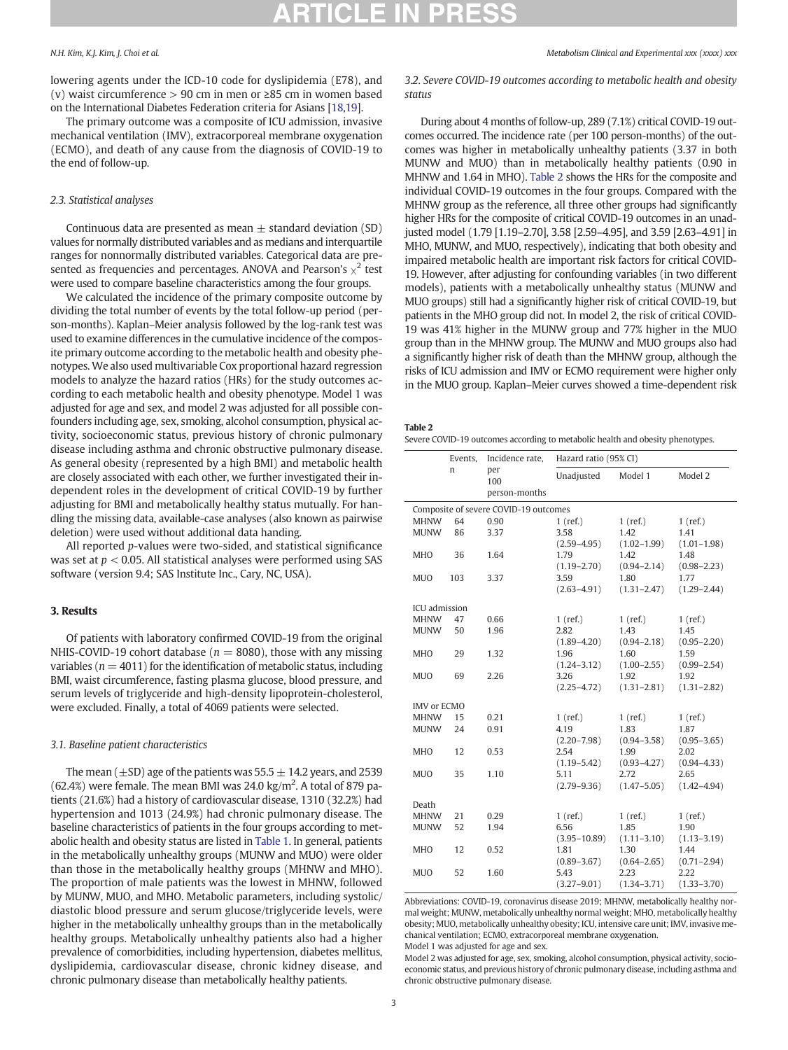lowering agents under the ICD-10 code for dyslipidemia (E78), and (v) waist circumference > 90 cm in men or ≥85 cm in women based on the International Diabetes Federation criteria for Asians [[18,19](#page-5-0)].

The primary outcome was a composite of ICU admission, invasive mechanical ventilation (IMV), extracorporeal membrane oxygenation (ECMO), and death of any cause from the diagnosis of COVID-19 to the end of follow-up.

### 2.3. Statistical analyses

Continuous data are presented as mean  $\pm$  standard deviation (SD) values for normally distributed variables and as medians and interquartile ranges for nonnormally distributed variables. Categorical data are presented as frequencies and percentages. ANOVA and Pearson's  $\chi^2$  test were used to compare baseline characteristics among the four groups.

We calculated the incidence of the primary composite outcome by dividing the total number of events by the total follow-up period (person-months). Kaplan–Meier analysis followed by the log-rank test was used to examine differences in the cumulative incidence of the composite primary outcome according to the metabolic health and obesity phenotypes. We also used multivariable Cox proportional hazard regression models to analyze the hazard ratios (HRs) for the study outcomes according to each metabolic health and obesity phenotype. Model 1 was adjusted for age and sex, and model 2 was adjusted for all possible confounders including age, sex, smoking, alcohol consumption, physical activity, socioeconomic status, previous history of chronic pulmonary disease including asthma and chronic obstructive pulmonary disease. As general obesity (represented by a high BMI) and metabolic health are closely associated with each other, we further investigated their independent roles in the development of critical COVID-19 by further adjusting for BMI and metabolically healthy status mutually. For handling the missing data, available-case analyses (also known as pairwise deletion) were used without additional data handing.

All reported p-values were two-sided, and statistical significance was set at  $p < 0.05$ . All statistical analyses were performed using SAS software (version 9.4; SAS Institute Inc., Cary, NC, USA).

### 3. Results

Of patients with laboratory confirmed COVID-19 from the original NHIS-COVID-19 cohort database ( $n = 8080$ ), those with any missing variables ( $n = 4011$ ) for the identification of metabolic status, including BMI, waist circumference, fasting plasma glucose, blood pressure, and serum levels of triglyceride and high-density lipoprotein-cholesterol, were excluded. Finally, a total of 4069 patients were selected.

### 3.1. Baseline patient characteristics

The mean ( $\pm$ SD) age of the patients was 55.5  $\pm$  14.2 years, and 2539  $(62.4%)$  were female. The mean BMI was 24.0 kg/m<sup>2</sup>. A total of 879 patients (21.6%) had a history of cardiovascular disease, 1310 (32.2%) had hypertension and 1013 (24.9%) had chronic pulmonary disease. The baseline characteristics of patients in the four groups according to metabolic health and obesity status are listed in [Table 1](#page-1-0). In general, patients in the metabolically unhealthy groups (MUNW and MUO) were older than those in the metabolically healthy groups (MHNW and MHO). The proportion of male patients was the lowest in MHNW, followed by MUNW, MUO, and MHO. Metabolic parameters, including systolic/ diastolic blood pressure and serum glucose/triglyceride levels, were higher in the metabolically unhealthy groups than in the metabolically healthy groups. Metabolically unhealthy patients also had a higher prevalence of comorbidities, including hypertension, diabetes mellitus, dyslipidemia, cardiovascular disease, chronic kidney disease, and chronic pulmonary disease than metabolically healthy patients.

3.2. Severe COVID-19 outcomes according to metabolic health and obesity status

During about 4 months of follow-up, 289 (7.1%) critical COVID-19 outcomes occurred. The incidence rate (per 100 person-months) of the outcomes was higher in metabolically unhealthy patients (3.37 in both MUNW and MUO) than in metabolically healthy patients (0.90 in MHNW and 1.64 in MHO). Table 2 shows the HRs for the composite and individual COVID-19 outcomes in the four groups. Compared with the MHNW group as the reference, all three other groups had significantly higher HRs for the composite of critical COVID-19 outcomes in an unadjusted model (1.79 [1.19–2.70], 3.58 [2.59–4.95], and 3.59 [2.63–4.91] in MHO, MUNW, and MUO, respectively), indicating that both obesity and impaired metabolic health are important risk factors for critical COVID-19. However, after adjusting for confounding variables (in two different models), patients with a metabolically unhealthy status (MUNW and MUO groups) still had a significantly higher risk of critical COVID-19, but patients in the MHO group did not. In model 2, the risk of critical COVID-19 was 41% higher in the MUNW group and 77% higher in the MUO group than in the MHNW group. The MUNW and MUO groups also had a significantly higher risk of death than the MHNW group, although the risks of ICU admission and IMV or ECMO requirement were higher only in the MUO group. Kaplan–Meier curves showed a time-dependent risk

Severe COVID-19 outcomes according to metabolic health and obesity phenotypes.

|                                       | Events, | Incidence rate,             | Hazard ratio (95% CI) |                 |                 |  |
|---------------------------------------|---------|-----------------------------|-----------------------|-----------------|-----------------|--|
|                                       | n       | per<br>100<br>person-months | Unadjusted            | Model 1         | Model 2         |  |
| Composite of severe COVID-19 outcomes |         |                             |                       |                 |                 |  |
| <b>MHNW</b>                           | 64      | 0.90                        | $1$ (ref.)            | $1$ (ref.)      | $1$ (ref.)      |  |
| <b>MUNW</b>                           | 86      | 3.37                        | 3.58                  | 1.42            | 1.41            |  |
|                                       |         |                             | $(2.59 - 4.95)$       | $(1.02 - 1.99)$ | $(1.01 - 1.98)$ |  |
| MHO                                   | 36      | 1.64                        | 1.79                  | 1.42            | 1.48            |  |
|                                       |         |                             | $(1.19 - 2.70)$       | $(0.94 - 2.14)$ | $(0.98 - 2.23)$ |  |
| <b>MUO</b>                            | 103     | 3.37                        | 3.59                  | 1.80            | 1.77            |  |
|                                       |         |                             | $(2.63 - 4.91)$       | $(1.31 - 2.47)$ | $(1.29 - 2.44)$ |  |
|                                       |         |                             |                       |                 |                 |  |
| <b>ICU</b> admission                  |         |                             |                       |                 |                 |  |
| <b>MHNW</b>                           | 47      | 0.66                        | $1$ (ref.)            | $1$ (ref.)      | $1$ (ref.)      |  |
| <b>MUNW</b>                           | 50      | 1.96                        | 2.82                  | 1.43            | 1.45            |  |
|                                       |         |                             | $(1.89 - 4.20)$       | $(0.94 - 2.18)$ | $(0.95 - 2.20)$ |  |
| <b>MHO</b>                            | 29      | 1.32                        | 1.96                  | 1.60            | 1.59            |  |
|                                       |         |                             | $(1.24 - 3.12)$       | $(1.00 - 2.55)$ | $(0.99 - 2.54)$ |  |
| <b>MUO</b>                            | 69      | 2.26                        | 3.26                  | 1.92            | 1.92            |  |
|                                       |         |                             | $(2.25 - 4.72)$       | $(1.31 - 2.81)$ | $(1.31 - 2.82)$ |  |
| <b>IMV</b> or ECMO                    |         |                             |                       |                 |                 |  |
| <b>MHNW</b>                           | 15      | 0.21                        | $1$ (ref.)            | $1$ (ref.)      | $1$ (ref.)      |  |
| <b>MUNW</b>                           | 24      | 0.91                        | 4.19                  | 1.83            | 1.87            |  |
|                                       |         |                             | $(2.20 - 7.98)$       | $(0.94 - 3.58)$ | $(0.95 - 3.65)$ |  |
| <b>MHO</b>                            | 12      | 0.53                        | 2.54                  | 1.99            | 2.02            |  |
|                                       |         |                             | $(1.19 - 5.42)$       | $(0.93 - 4.27)$ | $(0.94 - 4.33)$ |  |
| <b>MUO</b>                            | 35      | 1.10                        | 5.11                  | 2.72            | 2.65            |  |
|                                       |         |                             | $(2.79 - 9.36)$       | $(1.47 - 5.05)$ | $(1.42 - 4.94)$ |  |
|                                       |         |                             |                       |                 |                 |  |
| Death                                 |         |                             |                       |                 |                 |  |
| <b>MHNW</b>                           | 21      | 0.29                        | $1$ (ref.)            | $1$ (ref.)      | $1$ (ref.)      |  |
| <b>MUNW</b>                           | 52      | 1.94                        | 6.56                  | 1.85            | 1.90            |  |
|                                       |         |                             | $(3.95 - 10.89)$      | $(1.11 - 3.10)$ | $(1.13 - 3.19)$ |  |
| <b>MHO</b>                            | 12      | 0.52                        | 1.81                  | 1.30            | 1.44            |  |
|                                       |         |                             | $(0.89 - 3.67)$       | $(0.64 - 2.65)$ | $(0.71 - 2.94)$ |  |
| <b>MUO</b>                            | 52      | 1.60                        | 5.43                  | 2.23            | 2.22            |  |
|                                       |         |                             | $(3.27 - 9.01)$       | $(1.34 - 3.71)$ | $(1.33 - 3.70)$ |  |

Abbreviations: COVID-19, coronavirus disease 2019; MHNW, metabolically healthy normal weight; MUNW, metabolically unhealthy normal weight; MHO, metabolically healthy obesity; MUO, metabolically unhealthy obesity; ICU, intensive care unit; IMV, invasive mechanical ventilation; ECMO, extracorporeal membrane oxygenation.

Model 1 was adjusted for age and sex.

Model 2 was adjusted for age, sex, smoking, alcohol consumption, physical activity, socioeconomic status, and previous history of chronic pulmonary disease, including asthma and chronic obstructive pulmonary disease.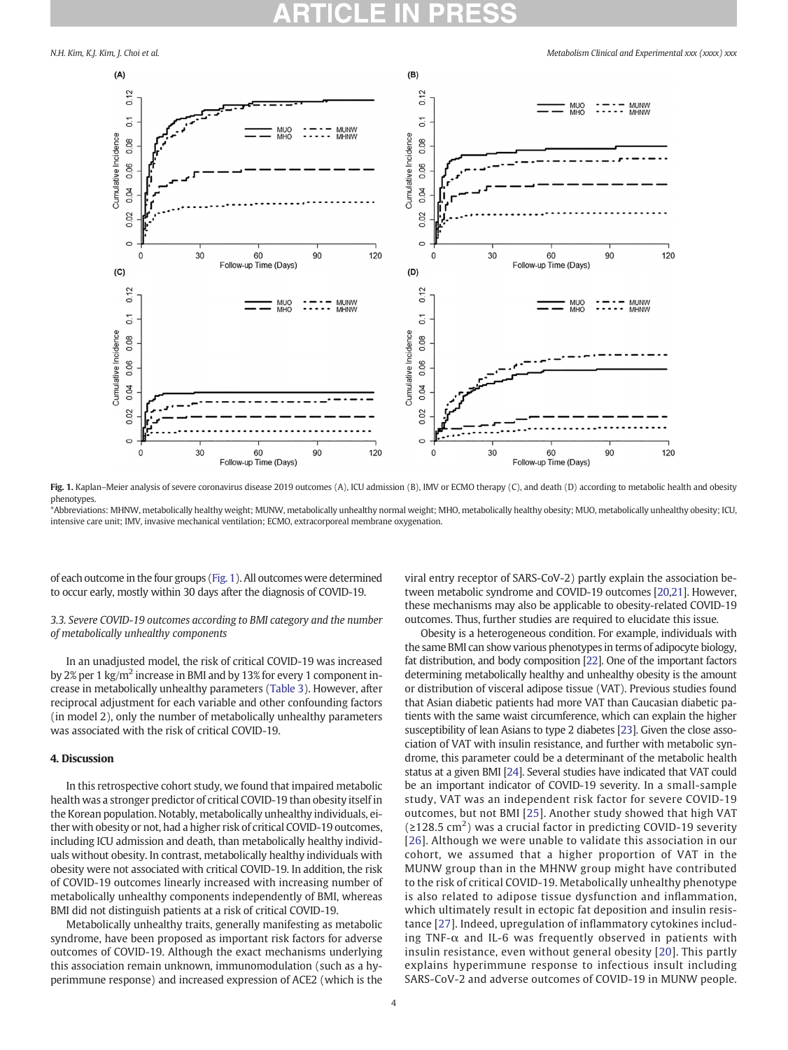

Fig. 1. Kaplan–Meier analysis of severe coronavirus disease 2019 outcomes (A), ICU admission (B), IMV or ECMO therapy (C), and death (D) according to metabolic health and obesity phenotypes.

\*Abbreviations: MHNW, metabolically healthy weight; MUNW, metabolically unhealthy normal weight; MHO, metabolically healthy obesity; MUO, metabolically unhealthy obesity; ICU, intensive care unit; IMV, invasive mechanical ventilation; ECMO, extracorporeal membrane oxygenation.

of each outcome in the four groups (Fig. 1). All outcomes were determined to occur early, mostly within 30 days after the diagnosis of COVID-19.

### 3.3. Severe COVID-19 outcomes according to BMI category and the number of metabolically unhealthy components

In an unadjusted model, the risk of critical COVID-19 was increased by 2% per 1 kg/m<sup>2</sup> increase in BMI and by 13% for every 1 component increase in metabolically unhealthy parameters [\(Table 3\)](#page-4-0). However, after reciprocal adjustment for each variable and other confounding factors (in model 2), only the number of metabolically unhealthy parameters was associated with the risk of critical COVID-19.

### 4. Discussion

In this retrospective cohort study, we found that impaired metabolic health was a stronger predictor of critical COVID-19 than obesity itself in the Korean population. Notably, metabolically unhealthy individuals, either with obesity or not, had a higher risk of critical COVID-19 outcomes, including ICU admission and death, than metabolically healthy individuals without obesity. In contrast, metabolically healthy individuals with obesity were not associated with critical COVID-19. In addition, the risk of COVID-19 outcomes linearly increased with increasing number of metabolically unhealthy components independently of BMI, whereas BMI did not distinguish patients at a risk of critical COVID-19.

Metabolically unhealthy traits, generally manifesting as metabolic syndrome, have been proposed as important risk factors for adverse outcomes of COVID-19. Although the exact mechanisms underlying this association remain unknown, immunomodulation (such as a hyperimmune response) and increased expression of ACE2 (which is the viral entry receptor of SARS-CoV-2) partly explain the association between metabolic syndrome and COVID-19 outcomes [\[20,21\]](#page-5-0). However, these mechanisms may also be applicable to obesity-related COVID-19 outcomes. Thus, further studies are required to elucidate this issue.

Obesity is a heterogeneous condition. For example, individuals with the same BMI can show various phenotypes in terms of adipocyte biology, fat distribution, and body composition [\[22](#page-5-0)]. One of the important factors determining metabolically healthy and unhealthy obesity is the amount or distribution of visceral adipose tissue (VAT). Previous studies found that Asian diabetic patients had more VAT than Caucasian diabetic patients with the same waist circumference, which can explain the higher susceptibility of lean Asians to type 2 diabetes [\[23](#page-5-0)]. Given the close association of VAT with insulin resistance, and further with metabolic syndrome, this parameter could be a determinant of the metabolic health status at a given BMI [\[24](#page-5-0)]. Several studies have indicated that VAT could be an important indicator of COVID-19 severity. In a small-sample study, VAT was an independent risk factor for severe COVID-19 outcomes, but not BMI [\[25\]](#page-5-0). Another study showed that high VAT  $(\geq 128.5 \text{ cm}^2)$  was a crucial factor in predicting COVID-19 severity [[26\]](#page-5-0). Although we were unable to validate this association in our cohort, we assumed that a higher proportion of VAT in the MUNW group than in the MHNW group might have contributed to the risk of critical COVID-19. Metabolically unhealthy phenotype is also related to adipose tissue dysfunction and inflammation, which ultimately result in ectopic fat deposition and insulin resistance [[27](#page-5-0)]. Indeed, upregulation of inflammatory cytokines including TNF- $\alpha$  and IL-6 was frequently observed in patients with insulin resistance, even without general obesity [\[20](#page-5-0)]. This partly explains hyperimmune response to infectious insult including SARS-CoV-2 and adverse outcomes of COVID-19 in MUNW people.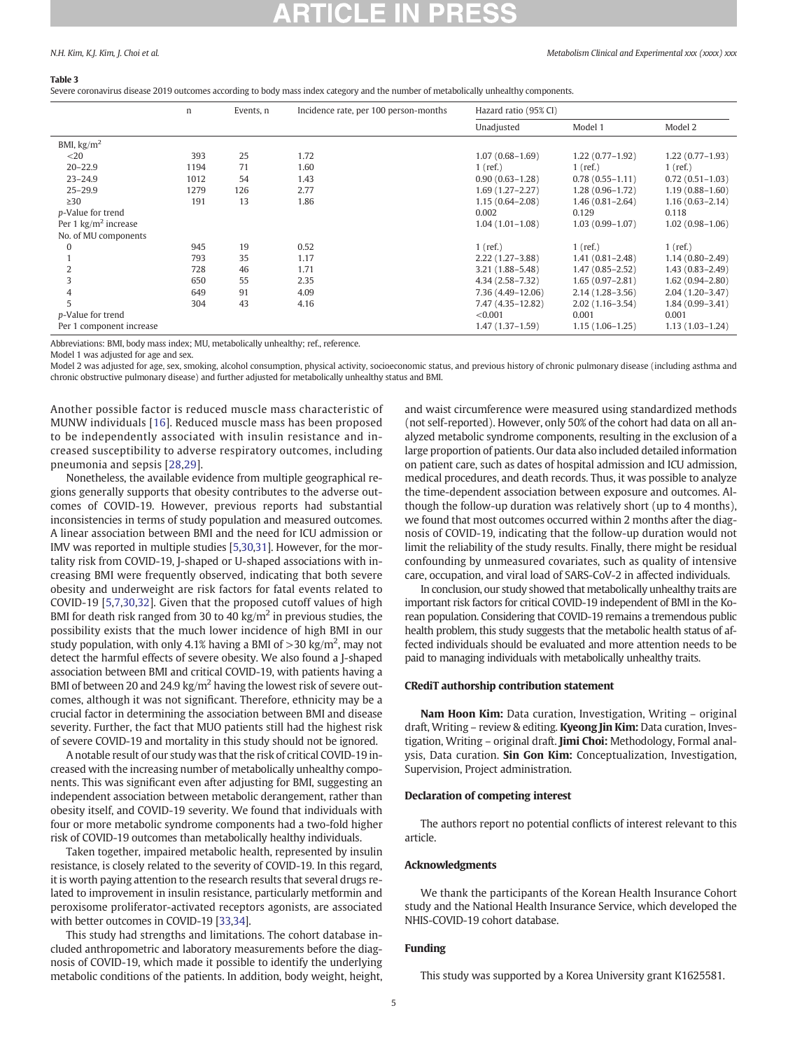#### <span id="page-4-0"></span>Table 3

Severe coronavirus disease 2019 outcomes according to body mass index category and the number of metabolically unhealthy components.

|                                | n    | Events, n | Incidence rate, per 100 person-months | Hazard ratio (95% CI) |                     |                     |
|--------------------------------|------|-----------|---------------------------------------|-----------------------|---------------------|---------------------|
|                                |      |           |                                       | Unadjusted            | Model 1             | Model 2             |
| BMI, $\text{kg/m}^2$           |      |           |                                       |                       |                     |                     |
| $<$ 20                         | 393  | 25        | 1.72                                  | $1.07(0.68 - 1.69)$   | $1.22(0.77-1.92)$   | $1.22(0.77 - 1.93)$ |
| $20 - 22.9$                    | 1194 | 71        | 1.60                                  | $1$ (ref.)            | $1$ (ref.)          | $1$ (ref.)          |
| $23 - 24.9$                    | 1012 | 54        | 1.43                                  | $0.90(0.63 - 1.28)$   | $0.78(0.55 - 1.11)$ | $0.72(0.51 - 1.03)$ |
| $25 - 29.9$                    | 1279 | 126       | 2.77                                  | $1.69(1.27 - 2.27)$   | $1.28(0.96-1.72)$   | $1.19(0.88 - 1.60)$ |
| $\geq$ 30                      | 191  | 13        | 1.86                                  | $1.15(0.64 - 2.08)$   | $1.46(0.81 - 2.64)$ | $1.16(0.63 - 2.14)$ |
| p-Value for trend              |      |           |                                       | 0.002                 | 0.129               | 0.118               |
| Per 1 $\text{kg/m}^2$ increase |      |           |                                       | $1.04(1.01-1.08)$     | $1.03(0.99 - 1.07)$ | $1.02(0.98 - 1.06)$ |
| No. of MU components           |      |           |                                       |                       |                     |                     |
| $\Omega$                       | 945  | 19        | 0.52                                  | $1$ (ref.)            | $1$ (ref.)          | $1$ (ref.)          |
|                                | 793  | 35        | 1.17                                  | $2.22(1.27-3.88)$     | $1.41(0.81 - 2.48)$ | $1.14(0.80 - 2.49)$ |
|                                | 728  | 46        | 1.71                                  | $3.21(1.88 - 5.48)$   | $1.47(0.85 - 2.52)$ | $1.43(0.83 - 2.49)$ |
|                                | 650  | 55        | 2.35                                  | $4.34(2.58 - 7.32)$   | $1.65(0.97-2.81)$   | $1.62(0.94 - 2.80)$ |
| 4                              | 649  | 91        | 4.09                                  | 7.36 (4.49-12.06)     | $2.14(1.28 - 3.56)$ | $2.04(1.20-3.47)$   |
| 5                              | 304  | 43        | 4.16                                  | 7.47 (4.35-12.82)     | $2.02(1.16-3.54)$   | $1.84(0.99 - 3.41)$ |
| p-Value for trend              |      |           |                                       | < 0.001               | 0.001               | 0.001               |
| Per 1 component increase       |      |           |                                       | $1.47(1.37-1.59)$     | $1.15(1.06-1.25)$   | $1.13(1.03 - 1.24)$ |

Abbreviations: BMI, body mass index; MU, metabolically unhealthy; ref., reference.

Model 1 was adjusted for age and sex.

Model 2 was adjusted for age, sex, smoking, alcohol consumption, physical activity, socioeconomic status, and previous history of chronic pulmonary disease (including asthma and chronic obstructive pulmonary disease) and further adjusted for metabolically unhealthy status and BMI.

Another possible factor is reduced muscle mass characteristic of MUNW individuals [[16](#page-5-0)]. Reduced muscle mass has been proposed to be independently associated with insulin resistance and increased susceptibility to adverse respiratory outcomes, including pneumonia and sepsis [[28,29\]](#page-5-0).

Nonetheless, the available evidence from multiple geographical regions generally supports that obesity contributes to the adverse outcomes of COVID-19. However, previous reports had substantial inconsistencies in terms of study population and measured outcomes. A linear association between BMI and the need for ICU admission or IMV was reported in multiple studies [\[5,30,31](#page-5-0)]. However, for the mortality risk from COVID-19, J-shaped or U-shaped associations with increasing BMI were frequently observed, indicating that both severe obesity and underweight are risk factors for fatal events related to COVID-19 [[5,7](#page-5-0),[30](#page-5-0),[32](#page-5-0)]. Given that the proposed cutoff values of high BMI for death risk ranged from 30 to 40 kg/ $m<sup>2</sup>$  in previous studies, the possibility exists that the much lower incidence of high BMI in our study population, with only 4.1% having a BMI of  $>$ 30 kg/m<sup>2</sup>, may not detect the harmful effects of severe obesity. We also found a J-shaped association between BMI and critical COVID-19, with patients having a BMI of between 20 and 24.9 kg/ $m^2$  having the lowest risk of severe outcomes, although it was not significant. Therefore, ethnicity may be a crucial factor in determining the association between BMI and disease severity. Further, the fact that MUO patients still had the highest risk of severe COVID-19 and mortality in this study should not be ignored.

A notable result of our study was that the risk of critical COVID-19 increased with the increasing number of metabolically unhealthy components. This was significant even after adjusting for BMI, suggesting an independent association between metabolic derangement, rather than obesity itself, and COVID-19 severity. We found that individuals with four or more metabolic syndrome components had a two-fold higher risk of COVID-19 outcomes than metabolically healthy individuals.

Taken together, impaired metabolic health, represented by insulin resistance, is closely related to the severity of COVID-19. In this regard, it is worth paying attention to the research results that several drugs related to improvement in insulin resistance, particularly metformin and peroxisome proliferator-activated receptors agonists, are associated with better outcomes in COVID-19 [[33,34](#page-5-0)].

This study had strengths and limitations. The cohort database included anthropometric and laboratory measurements before the diagnosis of COVID-19, which made it possible to identify the underlying metabolic conditions of the patients. In addition, body weight, height, and waist circumference were measured using standardized methods (not self-reported). However, only 50% of the cohort had data on all analyzed metabolic syndrome components, resulting in the exclusion of a large proportion of patients. Our data also included detailed information on patient care, such as dates of hospital admission and ICU admission, medical procedures, and death records. Thus, it was possible to analyze the time-dependent association between exposure and outcomes. Although the follow-up duration was relatively short (up to 4 months), we found that most outcomes occurred within 2 months after the diagnosis of COVID-19, indicating that the follow-up duration would not limit the reliability of the study results. Finally, there might be residual confounding by unmeasured covariates, such as quality of intensive care, occupation, and viral load of SARS-CoV-2 in affected individuals.

In conclusion, our study showed that metabolically unhealthy traits are important risk factors for critical COVID-19 independent of BMI in the Korean population. Considering that COVID-19 remains a tremendous public health problem, this study suggests that the metabolic health status of affected individuals should be evaluated and more attention needs to be paid to managing individuals with metabolically unhealthy traits.

#### CRediT authorship contribution statement

Nam Hoon Kim: Data curation, Investigation, Writing – original draft, Writing – review & editing. **Kyeong Jin Kim:** Data curation, Investigation, Writing – original draft. Jimi Choi: Methodology, Formal analysis, Data curation. Sin Gon Kim: Conceptualization, Investigation, Supervision, Project administration.

#### Declaration of competing interest

The authors report no potential conflicts of interest relevant to this article.

#### Acknowledgments

We thank the participants of the Korean Health Insurance Cohort study and the National Health Insurance Service, which developed the NHIS-COVID-19 cohort database.

#### Funding

This study was supported by a Korea University grant K1625581.